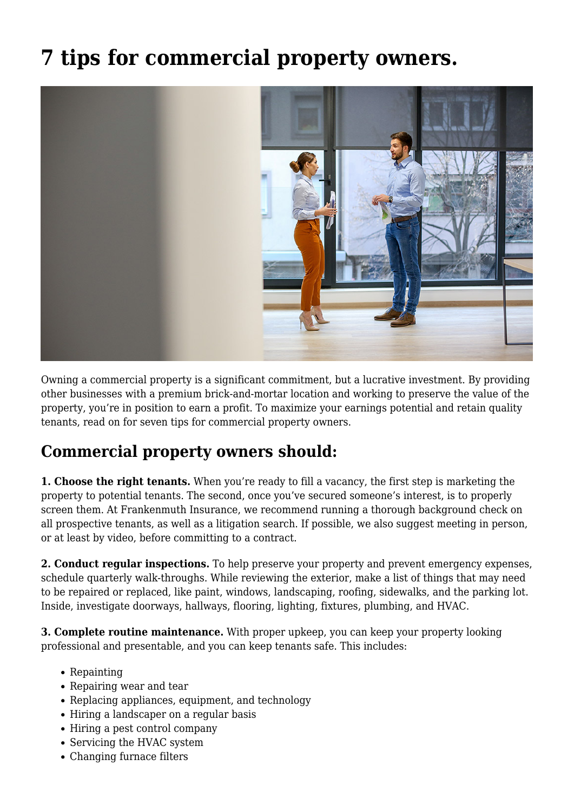## **[7 tips for commercial property owners.](https://www.fmins.com/blog/tips-for-commercial-property-owners/)**



Owning a commercial property is a significant commitment, but a lucrative investment. By providing other businesses with a premium brick-and-mortar location and working to preserve the value of the property, you're in position to earn a profit. To maximize your earnings potential and retain quality tenants, read on for seven tips for commercial property owners.

## **Commercial property owners should:**

**1. Choose the right tenants.** When you're ready to fill a vacancy, the first step is marketing the property to potential tenants. The second, once you've secured someone's interest, is to properly screen them. At Frankenmuth Insurance, we recommend running a thorough background check on all prospective tenants, as well as a litigation search. If possible, we also suggest meeting in person, or at least by video, before committing to a contract.

**2. Conduct regular inspections.** To help preserve your property and prevent emergency expenses, schedule quarterly walk-throughs. While reviewing the exterior, make a list of things that may need to be repaired or replaced, like paint, windows, landscaping, roofing, sidewalks, and the parking lot. Inside, investigate doorways, hallways, flooring, lighting, fixtures, plumbing, and HVAC.

**3. Complete routine maintenance.** With proper upkeep, you can keep your property looking professional and presentable, and you can keep tenants safe. This includes:

- Repainting
- Repairing wear and tear
- Replacing appliances, equipment, and technology
- Hiring a landscaper on a regular basis
- Hiring a pest control company
- Servicing the HVAC system
- Changing furnace filters